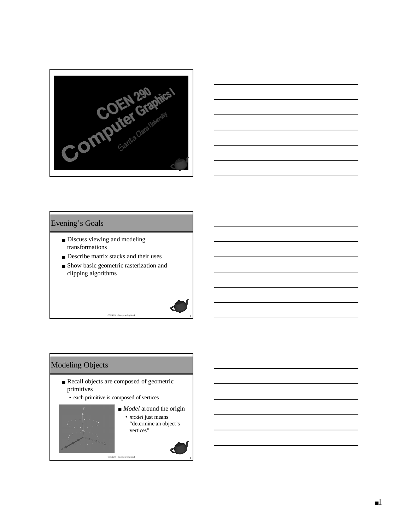



#### Evening's Goals

- Discuss viewing and modeling transformations
- Describe matrix stacks and their uses
- Show basic geometric rasterization and clipping algorithms

290 - Computer Graphics I

# Modeling Objects

- Recall objects are composed of geometric primitives
	- each primitive is composed of vertices

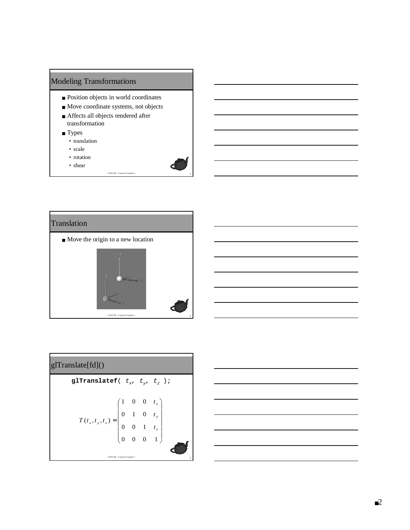# Modeling Transformations

- Position objects in world coordinates
- Move coordinate systems, not objects
- Affects all objects rendered after transformation
- Types
	- translation
	- scale
	- rotation
	- shear







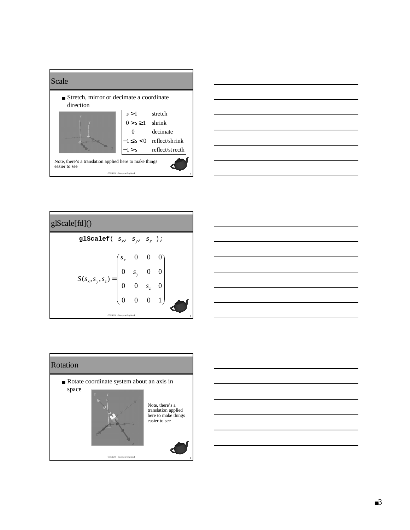



| g Scale[fd]()                                                  |   |                                                                           |  |              |  |  |  |  |  |
|----------------------------------------------------------------|---|---------------------------------------------------------------------------|--|--------------|--|--|--|--|--|
| glScalef $(\begin{array}{cc} S_x, & S_y, & S_z \end{array})$ ; |   |                                                                           |  |              |  |  |  |  |  |
| $S(s_x, s_y, s_z)$                                             | 0 | $\begin{pmatrix} s_x & 0 & 0 \\ 0 & s_y & 0 \\ 0 & 0 & s_z \end{pmatrix}$ |  | $\mathbf{1}$ |  |  |  |  |  |
| COEN 290 - Computer Graphics I                                 |   |                                                                           |  |              |  |  |  |  |  |





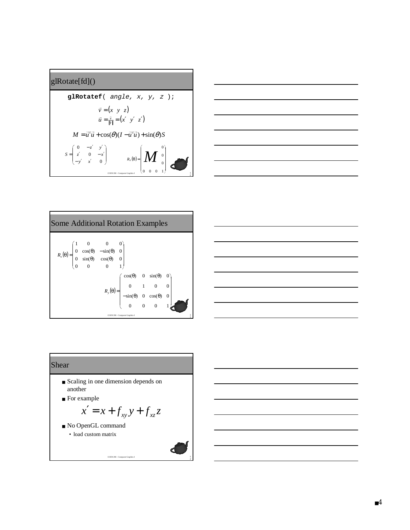# glRotate[fd]()

$$
\mathbf{glRotatef} \begin{pmatrix} angle, x, y, z \end{pmatrix};
$$
\n
$$
\vec{v} = (x \ y \ z)
$$
\n
$$
\vec{u} = \frac{\vec{v}}{|\vec{v}|} = (x' \ y' \ z')
$$
\n
$$
M = \vec{u}'\vec{u} + \cos(\theta)(I - \vec{u}'\vec{u}) + \sin(\theta)S
$$
\n
$$
S = \begin{pmatrix} 0 & -z' & y' \\ z' & 0 & -x' \\ -y' & x' & 0 \end{pmatrix} \qquad R_{\vec{v}}(\theta) = \begin{pmatrix} M & 0 \\ M & 0 \\ 0 & 0 & 1 \end{pmatrix}
$$



| <b>Some Additional Rotation Examples</b>                                                                                                                    |  |  |                                                                                                                                                             |  |  |  |  |  |  |  |
|-------------------------------------------------------------------------------------------------------------------------------------------------------------|--|--|-------------------------------------------------------------------------------------------------------------------------------------------------------------|--|--|--|--|--|--|--|
| $R_x(\theta) = \begin{pmatrix} 1 & 0 & 0 & 0 \\ 0 & \cos(\theta) & -\sin(\theta) & 0 \\ 0 & \sin(\theta) & \cos(\theta) & 0 \\ 0 & 0 & 0 & 1 \end{pmatrix}$ |  |  |                                                                                                                                                             |  |  |  |  |  |  |  |
|                                                                                                                                                             |  |  | $R_y(\theta) = \begin{pmatrix} \cos(\theta) & 0 & \sin(\theta) & 0 \\ 0 & 1 & 0 & 0 \\ -\sin(\theta) & 0 & \cos(\theta) & 0 \\ 0 & 0 & 0 & 1 \end{pmatrix}$ |  |  |  |  |  |  |  |

### Shear

- Scaling in one dimension depends on another
- For example

$$
x' = x + f_{xy} y + f_{xz} z
$$

COEN 290 - Computer Graphics I

 $\frac{1}{2}$ 

■ No OpenGL command  $x' = x + f$ <br>No OpenGL comman<br>• load custom matrix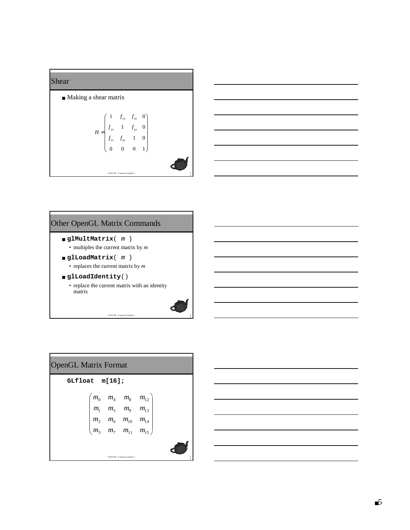



### Other OpenGL Matrix Commands

```
■ glMultMatrix( m )
```

```
• multiples the current matrix by
m
```

```
■ glLoadMatrix
(
m
)
```

```
• replaces the current matrix by
m
```
■ **glLoadIdentity**() • replace the current matrix with an identity matrix

COEN 290 - Computer Graphics I

14

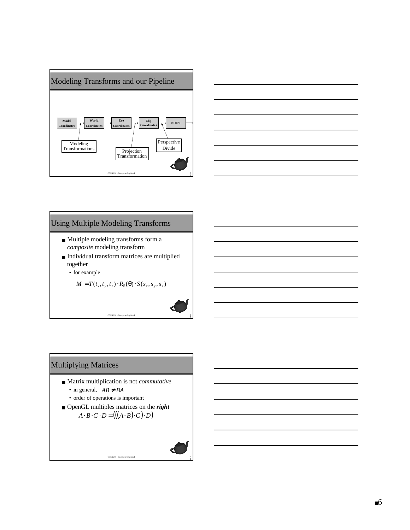



# Using Multiple Modeling Transforms

- Multiple modeling transforms form a *composite* modeling transform
- Individual transform matrices are multiplied together
	- for example

$$
M = T(t_x, t_y, t_z) \cdot R_{\vec{v}}(\theta) \cdot S(s_x, s_y, s_z)
$$

COEN 290 - Computer Graphics I

# Multiplying Matrices

- Matrix multiplication is not *commutative*
	- in general,  $AB \neq BA$
	- order of operations is important
- OpenGL multiples matrices on the *right*  $A \cdot B \cdot C \cdot D = (((A \cdot B) \cdot C) \cdot D)$

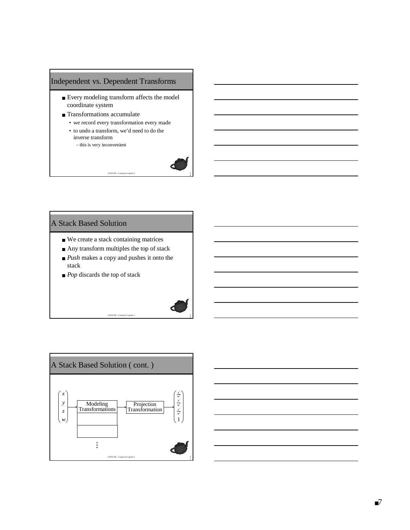### Independent vs. Dependent Transforms

- Every modeling transform affects the model coordinate system
- Transformations accumulate
	- we record every transformation every made
	- to undo a transform, we'd need to do the inverse transform

COEN 290 - Computer Graphics I

– this is very inconvenient



0

#### A Stack Based Solution

- We create a stack containing matrices
- Any transform multiples the top of stack
- *Push* makes a copy and pushes it onto the stack

COEN 290 - Computer Graphics I

■ *Pop* discards the top of stack

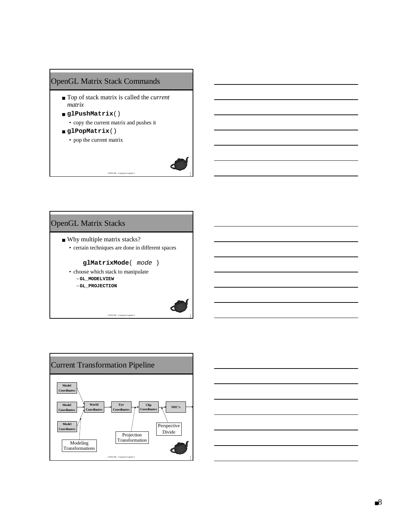# OpenGL Matrix Stack Commands

- Top of stack matrix is called the *current matrix*
- **glPushMatrix**() • copy the current matrix and pushes it
- **glPopMatrix**()
	- pop the current matrix



# OpenGL Matrix Stacks

- Why multiple matrix stacks?
	- certain techniques are done in different spaces

COEN 290 - Computer Graphics I

#### **glMatrixMode**( mode )

- choose which stack to manipulate
	- –**GL\_MODELVIEW**
	- –**GL\_PROJECTION**





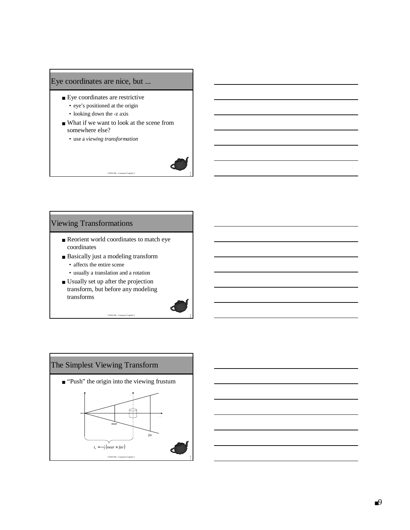# Eye coordinates are nice, but ...

- Eye coordinates are restrictive
	- eye's positioned at the origin
	- looking down the -z axis
- What if we want to look at the scene from somewhere else?

COEN 290 - Computer Graphics I

• use a *viewing transformation*



- Reorient world coordinates to match eye coordinates
- Basically just a modeling transform • affects the entire scene
	- usually a translation and a rotation
- Usually set up after the projection transform, but before any modeling transforms

COEN 290 - Computer Graphics I

6

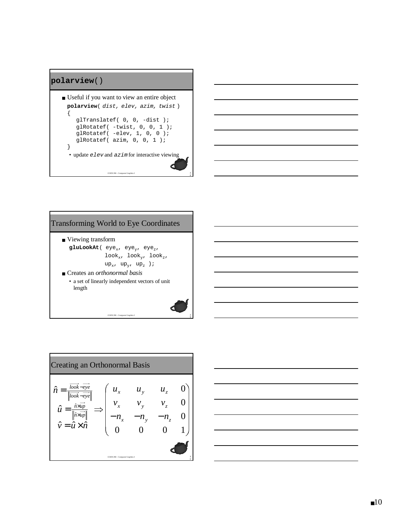#### **polarview**()

```
COEN 290 - Computer Graphics I
■ Useful if you want to view an entire object
 polarview( dist, elev, azim, twist )
  {
     glTranslatef( 0, 0, -dist );
     glRotatef( -twist, 0, 0, 1 );
     glRotatef( -elev, 1, 0, 0 );
     glRotatef( azim, 0, 0, 1 );
 }
  \bullet update elev and azim for interactive viewing
```


# Transforming World to Eye Coordinates ■ Viewing transform  $\texttt{gluLookAt}(\texttt{eye}_x, \texttt{eye}_y, \texttt{eye}_z,$  $\texttt{look}_x$ ,  $\texttt{look}_y$ ,  $\texttt{look}_z$ , up<sub>x</sub>, up<sub>y</sub>, up<sub>z</sub> ); ■ Creates an *orthonormal basis* • a set of linearly independent vectors of unit length

COEN 290 - Computer Graphics I

9



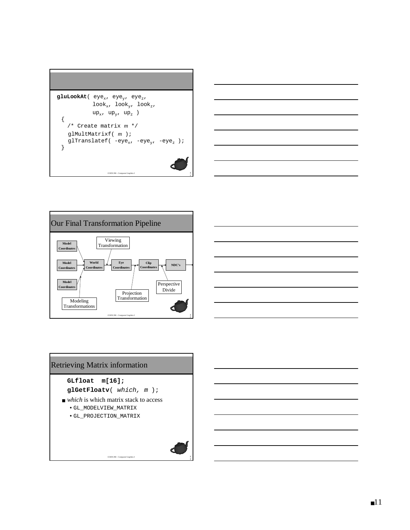